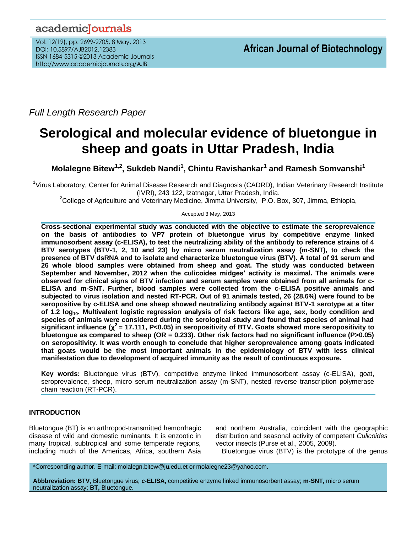*Full Length Research Paper*

# **Serological and molecular evidence of bluetongue in sheep and goats in Uttar Pradesh, India**

**Molalegne Bitew1,2, Sukdeb Nandi<sup>1</sup> , Chintu Ravishankar<sup>1</sup> and Ramesh Somvanshi<sup>1</sup>**

<sup>1</sup>Virus Laboratory, Center for Animal Disease Research and Diagnosis (CADRD), Indian Veterinary Research Institute (IVRI), 243 122, Izatnagar, Uttar Pradesh, India.

<sup>2</sup>College of Agriculture and Veterinary Medicine, Jimma University, P.O. Box, 307, Jimma, Ethiopia,

Accepted 3 May, 2013

**Cross-sectional experimental study was conducted with the objective to estimate the seroprevalence on the basis of antibodies to VP7 protein of bluetongue virus by competitive enzyme linked immunosorbent assay (c-ELISA), to test the neutralizing ability of the antibody to reference strains of 4 BTV serotypes (BTV-1, 2, 10 and 23) by micro serum neutralization assay (m-SNT), to check the presence of BTV dsRNA and to isolate and characterize bluetongue virus (BTV). A total of 91 serum and 26 whole blood samples were obtained from sheep and goat. The study was conducted between September and November, 2012 when the culicoides midges' activity is maximal. The animals were observed for clinical signs of BTV infection and serum samples were obtained from all animals for c-ELISA and m-SNT. Further, blood samples were collected from the c-ELISA positive animals and subjected to virus isolation and nested RT-PCR. Out of 91 animals tested, 26 (28.6%) were found to be seropositive by c-ELISA and one sheep showed neutralizing antibody against BTV-1 serotype at a titer of 1.2 log10. Multivalent logistic regression analysis of risk factors like age, sex, body condition and species of animals were considered during the serological study and found that species of animal had significant influence (χ 2 = 17.111, P<0.05) in seropositivity of BTV. Goats showed more seropositivity to bluetongue as compared to sheep (OR = 0.233). Other risk factors had no significant influence (P>0.05) on seropositivity. It was worth enough to conclude that higher seroprevalence among goats indicated that goats would be the most important animals in the epidemiology of BTV with less clinical manifestation due to development of acquired immunity as the result of continuous exposure.**

**Key words:** Bluetongue virus (BTV), competitive enzyme linked immunosorbent assay (c-ELISA), goat, seroprevalence, sheep, micro serum neutralization assay (m-SNT), nested reverse transcription polymerase chain reaction (RT-PCR).

## **INTRODUCTION**

Bluetongue (BT) is an arthropod-transmitted hemorrhagic disease of wild and domestic ruminants. It is enzootic in many tropical, subtropical and some temperate regions, including much of the Americas, Africa, southern Asia and northern Australia, coincident with the geographic distribution and seasonal activity of competent *Culicoides*  vector insects (Purse et al., 2005, 2009).

Bluetongue virus (BTV) is the prototype of the genus

\*Corresponding author. E-mail: molalegn.bitew@ju.edu.et or molalegne23@yahoo.com.

**Abbbreviation: BTV,** Bluetongue virus; **c-ELISA,** competitive enzyme linked immunosorbent assay; **m-SNT,** micro serum neutralization assay; **BT,** Bluetongue.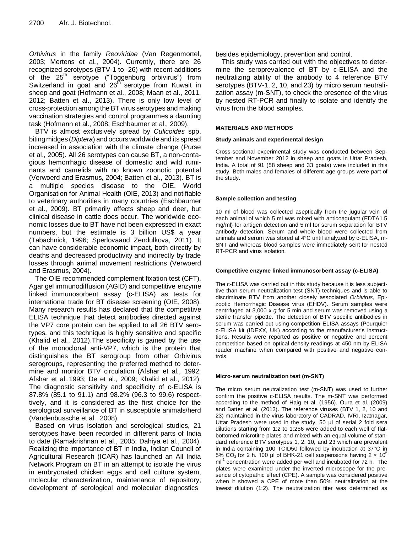*Orbivirus* in the family *Reoviridae* (Van Regenmortel, 2003; Mertens et al*.*, 2004). Currently, there are 26 recognized serotypes (BTV-1 to -26) with recent additions of the 25<sup>th</sup> serotype ("Toggenburg orbivirus") from Switzerland in goat and 26<sup>th</sup> serotype from Kuwait in sheep and goat (Hofmann et al., 2008; Maan et al., 2011, 2012; Batten et al., 2013). There is only low level of cross-protection among the BT virus serotypes and making vaccination strategies and control programmes a daunting task (Hofmann et al., 2008; Eschbaumer et al., 2009).

BTV is almost exclusively spread by *Culicoides* spp. bitingmidges (*Diptera*) and occurs worldwide and its spread increased in association with the climate change (Purse et al., 2005). All 26 serotypes can cause BT, a non-contagious hemorrhagic disease of domestic and wild ruminants and camelids with no known zoonotic potential (Verwoerd and Erasmus, 2004; Batten et al*.*, 2013). BT is a multiple species disease to the OIE, World Organisation for Animal Health (OIE, 2013) and notifiable to veterinary authorities in many countries (Eschbaumer et al., 2009). BT primarily affects sheep and deer, but clinical disease in cattle does occur. The worldwide economic losses due to BT have not been expressed in exact numbers, but the estimate is 3 billion US\$ a year (Tabachnick, 1996; Sperlovaand Zendulkova, 2011). It can have considerable economic impact, both directly by deaths and decreased productivity and indirectly by trade losses through animal movement restrictions (Verwoerd and Erasmus, 2004).

The OIE recommended complement fixation test (CFT), Agar gel immunodiffusion (AGID) and competitive enzyme linked immunosorbent assay (c-ELISA) as tests for international trade for BT disease screening (OIE, 2008). Many research results has declared that the competitive ELISA technique that detect antibodies directed against the VP7 core protein can be applied to all 26 BTV serotypes, and this technique is highly sensitive and specific (Khalid et al*.*, 2012).The specificity is gained by the use of the monoclonal anti-VP7, which is the protein that distinguishes the BT serogroup from other Orbivirus serogroups, representing the preferred method to determine and monitor BTV circulation (Afshar et al*.*, 1992; Afshar et al.,1993; De et al., 2009; Khalid et al., 2012). The diagnostic sensitivity and specificity of c-ELISA is 87.8% (85.1 to 91.1) and 98.2% (96.3 to 99.6) respecttively, and it is considered as the first choice for the serological surveillance of BT in susceptible animals/herd (Vandenbussche et al., 2008).

Based on virus isolation and serological studies, 21 serotypes have been recorded in different parts of India to date (Ramakrishnan et al., 2005; Dahiya et al., 2004). Realizing the importance of BT in India, Indian Council of Agricultural Research (ICAR) has launched an All India Network Program on BT in an attempt to isolate the virus in embryonated chicken eggs and cell culture system, molecular characterization, maintenance of repository, development of serological and molecular diagnostics

besides epidemiology, prevention and control.

This study was carried out with the objectives to determine the seroprevalence of BT by c-ELISA and the neutralizing ability of the antibody to 4 reference BTV serotypes (BTV-1, 2, 10, and 23) by micro serum neutralization assay (m-SNT), to check the presence of the virus by nested RT-PCR and finally to isolate and identify the virus from the blood samples.

## **MATERIALS AND METHODS**

### **Study animals and experimental design**

Cross-sectional experimental study was conducted between September and November 2012 in sheep and goats in Uttar Pradesh, India. A total of 91 (58 sheep and 33 goats) were included in this study. Both males and females of different age groups were part of the study.

## **Sample collection and testing**

10 ml of blood was collected aseptically from the jugular vein of each animal of which 5 ml was mixed with anticoagulant (EDTA1.5 mg/ml) for antigen detection and 5 ml for serum separation for BTV antibody detection. Serum and whole blood were collected from animals and serum was stored at 4°C until analyzed by c-ELISA, m-SNT and whereas blood samples were immediately sent for nested RT-PCR and virus isolation.

## **Competitive enzyme linked immunosorbent assay (c-ELISA)**

The c-ELISA was carried out in this study because it is less subjecttive than serum neutralization test (SNT) techniques and is able to discriminate BTV from another closely associated *Orbivirus*, Epizootic Hemorrhagic Disease virus (EHDV). Serum samples were centrifuged at 3,000 x *g* for 5 min and serum was removed using a sterile transfer pipette. The detection of BTV specific antibodies in serum was carried out using competition ELISA assays (Pourquier c-ELISA kit (IDEXX, UK) according to the manufacturer's instructtions. Results were reported as positive or negative and percent competition based on optical density readings at 450 nm by ELISA reader machine when compared with positive and negative controls.

#### **Micro-serum neutralization test (m-SNT)**

The micro serum neutralization test (m-SNT) was used to further confirm the positive c-ELISA results. The m-SNT was performed according to the method of Haig et al. (1956), Oura et al. (2009) and Batten et al. (2013). The reference viruses (BTV 1, 2, 10 and 23) maintained in the virus laboratory of CADRAD, IVRI, Izatnagar, Uttar Pradesh were used in the study. 50 μl of serial 2 fold sera dilutions starting from 1:2 to 1:256 were added to each well of flatbottomed microtitre plates and mixed with an equal volume of standard reference BTV serotypes 1, 2, 10, and 23 which are prevalent in India containing 100 TCID50 followed by incubation at 37°C in 5% CO<sub>2</sub> for 2 h. 100 μl of BHK-21 cell suspensions having  $2 \times 10^5$ ml<sup>-1</sup> concentration were added per well and incubated for 72 h. The plates were examined under the inverted microscope for the presence of cytopathic effect (CPE). A sample was considered positive when it showed a CPE of more than 50% neutralization at the lowest dilution (1:2). The neutralization titer was determined as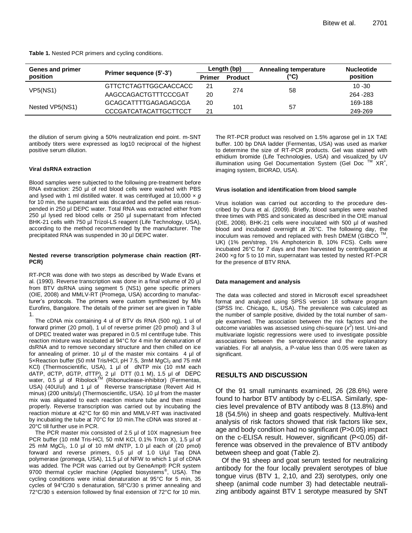| Table 1. Nested PCR primers and cycling conditions. |  |  |  |
|-----------------------------------------------------|--|--|--|
|-----------------------------------------------------|--|--|--|

| Genes and primer |                              | Length (bp)   |                | Annealing temperature | <b>Nucleotide</b> |
|------------------|------------------------------|---------------|----------------|-----------------------|-------------------|
| position         | Primer sequence (5'-3')      | <b>Primer</b> | <b>Product</b> | (°C)                  | position          |
| VP5(NS1)         | GTTCTCTAGTTGGCAACCACC        | 21            |                | 58                    | $10 - 30$         |
|                  | AAGCCAGACTGTTTCCCGAT         | 20            | 274            |                       | 264 - 283         |
| Nested VP5(NS1)  | GCAGCATTTTGAGAGAGCGA         | 20            | 101            | 57                    | 169-188           |
|                  | <b>CCCGATCATACATTGCTTCCT</b> | 21            |                |                       | 249-269           |

the dilution of serum giving a 50% neutralization end point. m-SNT antibody titers were expressed as log10 reciprocal of the highest positive serum dilution.

#### **Viral dsRNA extraction**

Blood samples were subjected to the following pre-treatment before RNA extraction: 250 µl of red blood cells were washed with PBS and lysed with 1 ml distilled water. It was centrifuged at 10,000 × *g* for 10 min, the supernatant was discarded and the pellet was resuspended in 250 µl DEPC water. Total RNA was extracted either from 250 µl lysed red blood cells or 250 µl supernatant from infected BHK-21 cells with 750 µl Trizol-LS reagent (Life Technology, USA), according to the method recommended by the manufacturer. The precipitated RNA was suspended in 30 µl DEPC water.

#### **Nested reverse transcription polymerase chain reaction (RT-PCR)**

RT-PCR was done with two steps as described by Wade Evans et al. (1990). Reverse transcription was done in a final volume of 20 µl from BTV dsRNA using segment 5 (NS1) gene specific primers (OIE, 2008) and MMLV-RT (Promega, USA) according to manufacturer's protocols. The primers were custom synthesized by M/s Eurofins, Bangalore. The details of the primer set are given in Table 1.

The cDNA mix containing 4 ul of BTV ds RNA (500 ng), 1 ul of forward primer (20 pmol), 1 ul of reverse primer (20 pmol) and 3 ul of DPEC treated water was prepared in 0.5 ml centrifuge tube. This reaction mixture was incubated at 94°C for 4 min for denaturation of dsRNA and to remove secondary structure and then chilled on ice for annealing of primer. 10  $\mu$ l of the master mix contains 4  $\mu$ l of 5×Reaction buffer (50 mM Tris/HCl, pH 7.5, 3mM MgCl<sub>2</sub> and 75 mM KCl) (Thermoscientific, USA), 1 µl of dNTP mix (10 mM each dATP, dCTP, dGTP, dTTP), 2 µl DTT (0.1 M), 1.5 μl of DEPC water, 0.5 µl of Ribolock<sup>TM</sup> (Ribonuclease-inhibitor) (Fermentas, USA) (40U/ul) and 1 µl of Reverse transcriptase (Revert Aid H minus) (200 units/μl) (Thermoscientific, USA). 10 µl from the master mix was aliquated to each reaction mixture tube and then mixed properly. Reverse transcription was carried out by incubating the reaction mixture at 42°C for 60 min and MMLV-RT was inactivated by incubating the tube at 70°C for 10 min.The cDNA was stored at - 20°C till further use in PCR.

The PCR master mix consisted of 2.5 µl of 10X magnesium free PCR buffer (10 mM Tris-HCl, 50 mM KCl, 0.1% Triton X), 1.5 µl of 25 mM  $MgCl<sub>2</sub>$ , 1.0 µl of 10 mM dNTP, 1.0 µl each of (20 pmol) forward and reverse primers, 0.5 µl of 1.0 U/µl Taq DNA polymerase (promega, USA), 11.5 µl of NFW to which 1 µl of cDNA was added. The PCR was carried out by GeneAmp® PCR system 9700 thermal cycler machine (Applied biosystems<sup>®</sup>, USA). The cycling conditions were initial denaturation at 95°C for 5 min, 35 cycles of 94°C/30 s denaturation, 58°C/30 s primer annealing and 72°C/30 s extension followed by final extension of 72°C for 10 min.

The RT-PCR product was resolved on 1.5% agarose gel in 1X TAE buffer. 100 bp DNA ladder (Fermentas, USA) was used as marker to determine the size of RT-PCR products. Gel was stained with ethidium bromide (Life Technologies, USA) and visualized by UV illumination using Gel Documentation System (Gel Doc XR<sup>+</sup>. imaging system, BIORAD, USA).

#### **Virus isolation and identification from blood sample**

Virus isolation was carried out according to the procedure described by Oura et al. (2009). Briefly, blood samples were washed three times with PBS and sonicated as described in the OIE manual (OIE, 2008). BHK-21 cells were inoculated with 500 µl of washed blood and incubated overnight at 26°C. The following day, the inoculum was removed and replaced with fresh DMEM (GIBCO  $TM$ , UK) (1% pen/strep, 1% Amphotericin B, 10% FCS). Cells were incubated 26°C for 7 days and then harvested by centrifugation at 2400 ×g for 5 to 10 min, supernatant was tested by nested RT-PCR for the presence of BTV RNA.

#### **Data management and analysis**

The data was collected and stored in Microsoft excel spreadsheet format and analyzed using SPSS version 18 software program (SPSS Inc. Chicago, IL, USA). The prevalence was calculated as the number of sample positive, divided by the total number of sample examined. The association between the risk factors and the outcome variables was assessed using chi-square  $(x^2)$  test. Uni-and multivariate logistic regressions were used to investigate possible associations between the seroprevalence and the explanatory variables. For all analysis, a P-value less than 0.05 were taken as significant.

## **RESULTS AND DISCUSSION**

Of the 91 small ruminants examined, 26 (28.6%) were found to harbor BTV antibody by c-ELISA. Similarly, species level prevalence of BTV antibody was 8 (13.8%) and 18 (54.5%) in sheep and goats respectively. Multiva-lent analysis of risk factors showed that risk factors like sex, age and body condition had no significant (P>0.05) impact on the c-ELISA result. However, significant (P<0.05) difference was observed in the prevalence of BTV antibody between sheep and goat (Table 2).

Of the 91 sheep and goat serum tested for neutralizing antibody for the four locally prevalent serotypes of blue tongue virus (BTV 1, 2,10, and 23) serotypes, only one sheep (animal code number 3) had detectable neutralizing antibody against BTV 1 serotype measured by SNT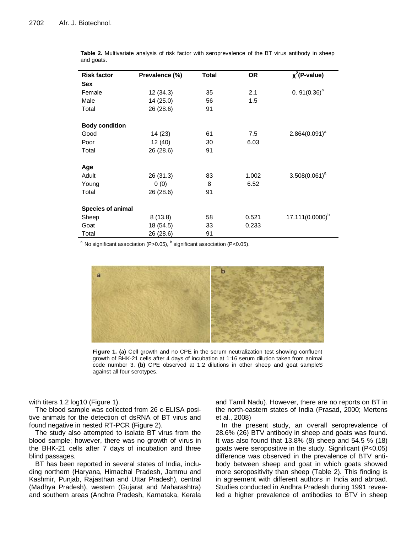| <b>Risk factor</b>       | Prevalence (%) | <b>Total</b> | OR    | $x^2$ (P-value)  |
|--------------------------|----------------|--------------|-------|------------------|
| <b>Sex</b>               |                |              |       |                  |
| Female                   | 12(34.3)       | 35           | 2.1   | 0. $91(0.36)^a$  |
| Male                     | 14 (25.0)      | 56           | 1.5   |                  |
| Total                    | 26 (28.6)      | 91           |       |                  |
| <b>Body condition</b>    |                |              |       |                  |
| Good                     | 14 (23)        | 61           | 7.5   | $2.864(0.091)^a$ |
| Poor                     | 12 (40)        | 30           | 6.03  |                  |
| Total                    | 26 (28.6)      | 91           |       |                  |
| Age                      |                |              |       |                  |
| Adult                    | 26 (31.3)      | 83           | 1.002 | $3.508(0.061)^a$ |
| Young                    | 0(0)           | 8            | 6.52  |                  |
| Total                    | 26 (28.6)      | 91           |       |                  |
| <b>Species of animal</b> |                |              |       |                  |
| Sheep                    | 8(13.8)        | 58           | 0.521 | 17.111(0.0000)b  |
| Goat                     | 18 (54.5)      | 33           | 0.233 |                  |
| Total                    | 26 (28.6)      | 91           |       |                  |

**Table 2.** Multivariate analysis of risk factor with seroprevalence of the BT virus antibody in sheep and goats.

<sup>a</sup> No significant association (P>0.05),  $<sup>b</sup>$  significant association (P<0.05).</sup>



**Figure 1. (a)** Cell growth and no CPE in the serum neutralization test showing confluent growth of BHK-21 cells after 4 days of incubation at 1:16 serum dilution taken from animal code number 3. **(b)** CPE observed at 1:2 dilutions in other sheep and goat sampleS against all four serotypes.

with titers 1.2 log10 (Figure 1).

The blood sample was collected from 26 c-ELISA positive animals for the detection of dsRNA of BT virus and found negative in nested RT-PCR (Figure 2).

The study also attempted to isolate BT virus from the blood sample; however, there was no growth of virus in the BHK-21 cells after 7 days of incubation and three blind passages.

BT has been reported in several states of India, including northern (Haryana, Himachal Pradesh, Jammu and Kashmir, Punjab, Rajasthan and Uttar Pradesh), central (Madhya Pradesh), western (Gujarat and Maharashtra) and southern areas (Andhra Pradesh, Karnataka, Kerala and Tamil Nadu). However, there are no reports on BT in the north-eastern states of India (Prasad, 2000; [Mertens](http://www.google.co.in/search?tbo=p&tbm=bks&q=inauthor:%22Peter+Mertens%22&source=gbs_metadata_r&cad=8) et al., 2008)

In the present study, an overall seroprevalence of 28.6% (26) BTV antibody in sheep and goats was found. It was also found that 13.8% (8) sheep and 54.5 % (18) goats were seropositive in the study. Significant (P<0.05) difference was observed in the prevalence of BTV antibody between sheep and goat in which goats showed more seropositivity than sheep (Table 2). This finding is in agreement with different authors in India and abroad. Studies conducted in Andhra Pradesh during 1991 revealed a higher prevalence of antibodies to BTV in sheep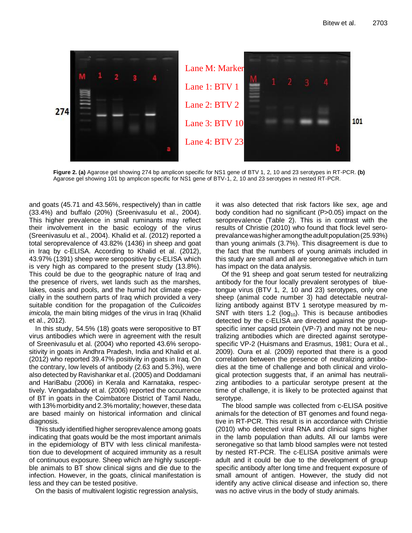

**Figure 2. (a)** Agarose gel showing 274 bp amplicon specific for NS1 gene of BTV 1, 2, 10 and 23 serotypes in RT-PCR. **(b)** Agarose gel showing 101 bp amplicon specific for NS1 gene of BTV-1, 2, 10 and 23 serotypes in nested RT-PCR.

and goats (45.71 and 43.56%, respectively) than in cattle (33.4%) and buffalo (20%) (Sreenivasulu et al., 2004). This higher prevalence in small ruminants may reflect their involvement in the basic ecology of the virus (Sreenivasulu et al., 2004). Khalid et al. (2012) reported a total seroprevalence of 43.82% (1436) in sheep and goat in Iraq by c-ELISA. According to Khalid et al. (2012), 43.97% (1391) sheep were seropositive by c-ELISA which is very high as compared to the present study (13.8%). This could be due to the geographic nature of Iraq and the presence of rivers, wet lands such as the marshes, lakes, oasis and pools, and the humid hot climate especially in the southern parts of Iraq which provided a very suitable condition for the propagation of the *Culicoides imicola,* the main biting midges of the virus in Iraq (Khalid et al., 2012)*.*

In this study, 54.5% (18) goats were seropositive to BT virus antibodies which were in agreement with the result of Sreenivasulu et al. (2004) who reported 43.6% seropositivity in goats in Andhra Pradesh, India and Khalid et al. (2012) who reported 39.47% positivity in goats in Iraq. On the contrary, low levels of antibody (2.63 and 5.3%), were also detected by Ravishankar et al. (2005) and Doddamani and HariBabu (2006) in Kerala and Karnataka, respectively. Vengadabady et al. (2006) reported the occurrence of BT in goats in the Coimbatore District of Tamil Nadu, with 13% morbidity and 2.3% mortality; however, these data are based mainly on historical information and clinical diagnosis.

This study identified higher seroprevalence among goats indicating that goats would be the most important animals in the epidemiology of BTV with less clinical manifestation due to development of acquired immunity as a result of continuous exposure. Sheep which are highly susceptible animals to BT show clinical signs and die due to the infection. However, in the goats, clinical manifestation is less and they can be tested positive.

On the basis of multivalent logistic regression analysis,

it was also detected that risk factors like sex, age and body condition had no significant (P>0.05) impact on the seroprevalence (Table 2). This is in contrast with the results of Christie (2010) who found that flock level seroprevalancewashigheramongtheadultpopulation(25.93%) than young animals (3.7%). This disagreement is due to the fact that the numbers of young animals included in this study are small and all are seronegative which in turn has impact on the data analysis.

Of the 91 sheep and goat serum tested for neutralizing antibody for the four locally prevalent serotypes of bluetongue virus (BTV 1, 2, 10 and 23) serotypes, only one sheep (animal code number 3) had detectable neutrallizing antibody against BTV 1 serotype measured by m-SNT with titers 1.2 ( $log_{10}$ ). This is because antibodies detected by the c-ELISA are directed against the groupspecific inner capsid protein (VP-7) and may not be neutralizing antibodies which are directed against serotypespecific VP-2 (Huismans and Erasmus, 1981; Oura et al., 2009). Oura et al. (2009) reported that there is a good correlation between the presence of neutralizing antibodies at the time of challenge and both clinical and virological protection suggests that, if an animal has neutralizing antibodies to a particular serotype present at the time of challenge, it is likely to be protected against that serotype.

The blood sample was collected from c-ELISA positive animals for the detection of BT genomes and found negative in RT-PCR. This result is in accordance with Christie (2010) who detected viral RNA and clinical signs higher in the lamb population than adults. All our lambs were seronegative so that lamb blood samples were not tested by nested RT-PCR. The c-ELISA positive animals were adult and it could be due to the development of group specific antibody after long time and frequent exposure of small amount of antigen. However, the study did not identify any active clinical disease and infection so, there was no active virus in the body of study animals.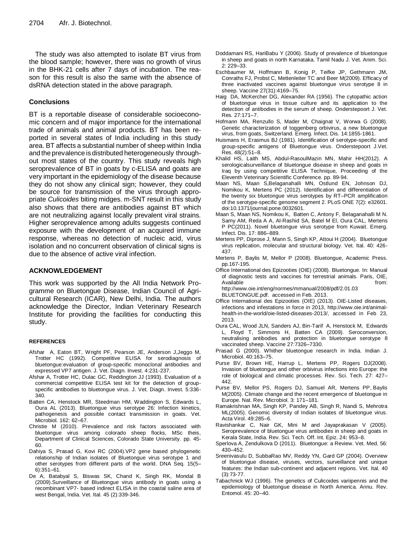The study was also attempted to isolate BT virus from the blood sample; however, there was no growth of virus in the BHK-21 cells after 7 days of incubation. The reason for this result is also the same with the absence of dsRNA detection stated in the above paragraph.

## **Conclusions**

BT is a reportable disease of considerable socioeconomic concern and of major importance for the international trade of animals and animal products. BT has been reported in several states of India including in this study area. BT affects a substantial number of sheep within India and the prevalence is distributed heterogeneously throughout most states of the country. This study reveals high seroprevalence of BT in goats by c-ELISA and goats are very important in the epidemiology of the disease because they do not show any clinical sign; however, they could be source for transmission of the virus through appropriate *Culicoides* biting midges. m-SNT result in this study also shows that there are antibodies against BT which are not neutralizing against locally prevalent viral strains. Higher seroprevalence among adults suggests continued exposure with the development of an acquired immune response, whereas no detection of nucleic acid, virus isolation and no concurrent observation of clinical signs is due to the absence of active viral infection.

## **ACKNOWLEDGEMENT**

This work was supported by the All India Network Programme on Bluetongue Disease, Indian Council of Agricultural Research (ICAR), New Delhi, India. The authors acknowledge the Director, Indian Veterinary Research Institute for providing the facilities for conducting this study.

#### **REFERENCES**

- Afshar A, Eaton BT, Wright PF, Pearson JE, Anderson J,Jeggo M, Trotter HC (1992). Competitive ELISA for serodiagnosis of bluetongue:evaluation of group-specific monoclonal antibodies and expressed VP7 antigen. J. Vet. Diagn. Invest. 4:231-237.
- Afshar A, Trotter HC, Dulac GC, Reddington JJ (1993). Evaluation of a commercial competitive ELISA test kit for the detection of groupspecific antibodies to bluetongue virus. J. Vet. Diagn. Invest. 5:336- 340.
- Batten CA, Henstock MR, Steedman HM, Waddington S, Edwards L, Oura AL (2013). Bluetongue virus serotype 26: Infection kinetics, pathogenesis and possible contact transmission in goats. Vet. Microbiol*.* 162: 62–67.
- Christie M (2010). Prevalence and risk factors associated with bluetongue virus among colorado sheep flocks, MSc theis, Department of Clinical Sciences, Colorado State University. pp. 45- 60.
- Dahiya S, Prasad G, Kovi RC (2004).VP2 gene based phylogenetic relationship of Indian isolates of Bluetongue virus serotype 1 and other serotypes from different parts of the world. DNA Seq. 15(5– 6):351–61.
- De A, Batabyal S, Biswas SK, Chand K, Singh RK, Mondal B (2009).Surveillance of Bluetongue virus antibody in goats using a recombinant VP7- based indirect ELISA in the coastal saline area of west Bengal, India. Vet. Ital*.* 45 (2):339-346.
- Doddamani RS, HariBabu Y (2006). Study of prevalence of bluetongue in sheep and goats in north Karnataka. Tamil Nadu J. Vet. Anim. Sci. 2: 229–33.
- Eschbaumer M, Hoffmann B, Konig P, Teifke JP, Gethmann JM, Conraths FJ[, Probst](http://www.ncbi.nlm.nih.gov/pubmed?term=Probst%20C%5BAuthor%5D&cauthor=true&cauthor_uid=19406189) C, [Mettenleiter](http://www.ncbi.nlm.nih.gov/pubmed?term=Mettenleiter%20TC%5BAuthor%5D&cauthor=true&cauthor_uid=19406189) TC and [Beer](http://www.ncbi.nlm.nih.gov/pubmed?term=Beer%20M%5BAuthor%5D&cauthor=true&cauthor_uid=19406189) M(2009). Efficacy of three inactivated vaccines against bluetongue virus serotype 8 in sheep. Vaccine 27(31):4169–75.
- Haig DA, McKercher DG, Alexander RA (1956). The cytopathic action of bluetongue virus in tissue culture and its application to the detection of antibodies in the serum of sheep. Onderstepoort J. Vet. Res*.* 27:171–7.
- Hofmann MA, Renzullo S, Mader M, Chaignat V, Worwa G (2008). Genetic characterization of toggenberg orbivirus, a new bluetongue virus, from goats, Switzerland. Emerg. Infect. Dis*.* 14:1855-1861.
- Huismans H, Erasmus BJ (1981). Identification of serotype-specific and group-specific antigens of Bluetongue virus. Onderstepoort J.Vet. Res. 48(2):51–8.
- Khalid HS, Laith MS, Abdul-RasoulMazin MN, Mahir HH(2012). A serologicalsurveillance of bluetongue disease in sheep and goats in Iraq by using competitive ELISA Technique, Proceeding of the Eleventh Veterinary Scientific Conference. pp. 89-94.
- Maan NS, Maan S,Belaganahalli MN, Ostlund EN, Johnson DJ, Nomikou K, Mertens PC (2012). Identification and differentiation of the twenty six bluetongue virus serotypes by RT–PCR amplification of the serotype-specific genome segment 2. PLoS ONE 7(2): e32601. doi:10.1371/journal.pone.0032601.
- Maan S, Maan NS, Nomikou K, Batten C, Antony F, Belaganahalli M N. Samy AM, Reda A A, Al-Rashid SA, Batel M El, Oura CAL, Mertens P PC(2011). Novel bluetongue virus serotype from Kuwait. Emerg. Infect. Dis. 17: 886–889.
- Mertens PP, Diprose J, Mann S, Singh KP, Attoui H (2004). Bluetongue virus replication, molecular and structural biology. Vet. Ital. 40: 426- 437.
- [Mertens](http://www.google.co.in/search?tbo=p&tbm=bks&q=inauthor:%22Peter+Mertens%22&source=gbs_metadata_r&cad=8) P, [Baylis](http://www.google.co.in/search?tbo=p&tbm=bks&q=inauthor:%22Matthew+Baylis%22&source=gbs_metadata_r&cad=8) M, [Mellor](http://www.google.co.in/search?tbo=p&tbm=bks&q=inauthor:%22Philip+Mellor%22&source=gbs_metadata_r&cad=8) P (2008). Bluetongue, Academic Press. pp.167-195.
- Office International des Epizooties (OIE) (2008). Bluetongue. In: Manual of diagnostic tests and vaccines for terrestrial animals. Paris, OIE,<br>Available from: Available http://www.oie.int/eng/normes/mmanual/2008/pdf/2.01.03

BLUETONGUE.pdf. accessed in Feb. 2013.

- Office International des Epizooties (OIE) (2013). OIE-Listed diseases, infections and infestations in force in 2013, http://www.oie.int/animalhealth-in-the-world/oie-listed-diseases-2013/, accessed in Feb 23, 2013.
- Oura CAL, Wood JLN, Sanders AJ, Bin-Tarif A, Henstock M, Edwards L, Floyd T, Simmons H, Batten CA (2009). Seroconversion, neutralising antibodies and protection in bluetongue serotype 8 vaccinated sheep. Vaccine 27:7326–7330.
- Prasad G (2000). Whither bluetongue research in India. Indian J. Microbiol. 40:163–75.
- Purse BV, Brown HE, Harrup L, Mertens PP, Rogers DJ(2008). Invasion of bluetongue and other orbivirus infections into Europe: the role of biological and climatic processes. Rev. Sci. Tech. 27: 427– 442.
- Purse BV, Mellor PS, Rogers DJ, Samuel AR, Mertens PP, [Baylis](http://www.ncbi.nlm.nih.gov/pubmed?term=Baylis%20M%5BAuthor%5D&cauthor=true&cauthor_uid=15685226) [M\(](http://www.ncbi.nlm.nih.gov/pubmed?term=Baylis%20M%5BAuthor%5D&cauthor=true&cauthor_uid=15685226)2005). Climate change and the recent emergence of bluetongue in Europe. Nat. Rev. Microbiol. 3: 171–181.
- Ramakrishnan MA, Singh KP, Pandey AB, Singh R, Nandi S, Mehrotra ML(2005). Genomic diversity of Indian isolates of bluetongue virus. Acta Virol. 49:285–6.
- Ravishankar C, Nair GK, Mini M and Jayaprakasan V (2005). Seroprevalence of bluetongue virus antibodies in sheep and goats in Kerala State, India. Rev. Sci. Tech. Off. Int. Epiz. 24**:** 953–8.
- Sperlova A, Zendulkova D (2011). Bluetongue: a Review. Vet. Med. 56: 430–452.
- Sreenivasulu D, SubbaRao MV, Reddy YN, Gard GP (2004). Overview of bluetongue disease, viruses, vectors, surveillance and unique features: the Indian sub-continent and adjacent regions. Vet. Ital. 40 (3):73-77.
- Tabachnick WJ (1996). The genetics of Culicoides variipennis and the epidemiology of bluetongue disease in North America. Annu. Rev. Entomol. 45: 20–40.